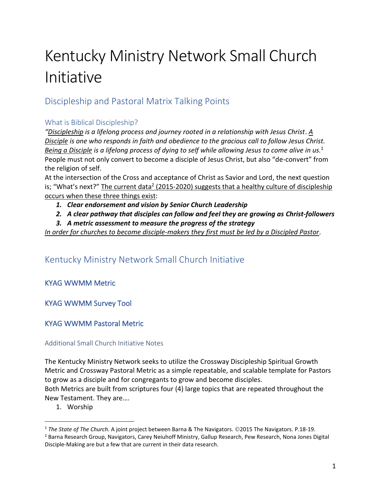# Kentucky Ministry Network Small Church Initiative

## Discipleship and Pastoral Matrix Talking Points

## What is Biblical Discipleship?

*"Discipleship is a lifelong process and journey rooted in a relationship with Jesus Christ*. *A Disciple is one who responds in faith and obedience to the gracious call to follow Jesus Christ. Being a Disciple is a lifelong process of dying to self while allowing Jesus to come alive in us.*<sup>1</sup> People must not only convert to become a disciple of Jesus Christ, but also "de-convert" from the religion of self.

At the intersection of the Cross and acceptance of Christ as Savior and Lord, the next question is; "What's next?" The current data<sup>2</sup> (2015-2020) suggests that a healthy culture of discipleship occurs when these three things exist:

- *1. Clear endorsement and vision by Senior Church Leadership*
- *2. A clear pathway that disciples can follow and feel they are growing as Christ-followers*
- *3. A metric assessment to measure the progress of the strategy*

*In order for churches to become disciple-makers they first must be led by a Discipled Pastor*.

# Kentucky Ministry Network Small Church Initiative

## KYAG WWMM Metric

## KYAG WWMM Survey Tool

## KYAG WWMM Pastoral Metric

## Additional Small Church Initiative Notes

The Kentucky Ministry Network seeks to utilize the Crossway Discipleship Spiritual Growth Metric and Crossway Pastoral Metric as a simple repeatable, and scalable template for Pastors to grow as a disciple and for congregants to grow and become disciples. Both Metrics are built from scriptures four (4) large topics that are repeated throughout the New Testament. They are….

1. Worship

<sup>1</sup> *The State of The Church.* A joint project between Barna & The Navigators. ©2015 The Navigators. P.18-19.

<sup>2</sup> Barna Research Group, Navigators, Carey Neiuhoff Ministry, Gallup Research, Pew Research, Nona Jones Digital Disciple-Making are but a few that are current in their data research.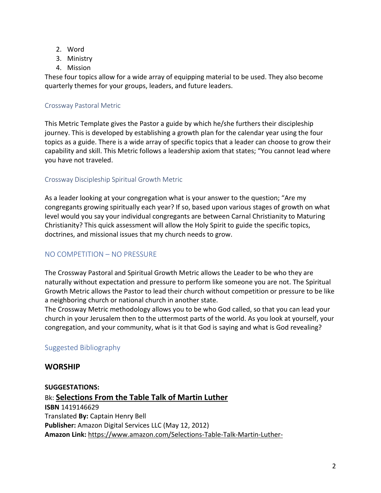- 2. Word
- 3. Ministry
- 4. Mission

These four topics allow for a wide array of equipping material to be used. They also become quarterly themes for your groups, leaders, and future leaders.

## Crossway Pastoral Metric

This Metric Template gives the Pastor a guide by which he/she furthers their discipleship journey. This is developed by establishing a growth plan for the calendar year using the four topics as a guide. There is a wide array of specific topics that a leader can choose to grow their capability and skill. This Metric follows a leadership axiom that states; "You cannot lead where you have not traveled.

## Crossway Discipleship Spiritual Growth Metric

As a leader looking at your congregation what is your answer to the question; "Are my congregants growing spiritually each year? If so, based upon various stages of growth on what level would you say your individual congregants are between Carnal Christianity to Maturing Christianity? This quick assessment will allow the Holy Spirit to guide the specific topics, doctrines, and missional issues that my church needs to grow.

## NO COMPETITION – NO PRESSURE

The Crossway Pastoral and Spiritual Growth Metric allows the Leader to be who they are naturally without expectation and pressure to perform like someone you are not. The Spiritual Growth Metric allows the Pastor to lead their church without competition or pressure to be like a neighboring church or national church in another state.

The Crossway Metric methodology allows you to be who God called, so that you can lead your church in your Jerusalem then to the uttermost parts of the world. As you look at yourself, your congregation, and your community, what is it that God is saying and what is God revealing?

## Suggested Bibliography

## **WORSHIP**

**SUGGESTATIONS:** Bk: **Selections From the Table Talk of Martin Luther ISBN** 1419146629 Translated **By:** Captain Henry Bell **Publisher:** Amazon Digital Services LLC (May 12, 2012) **Amazon Link:** [https://www.amazon.com/Selections-Table-Talk-Martin-Luther-](https://www.amazon.com/Selections-Table-Talk-Martin-Luther-ebook/dp/B0082ST2WY)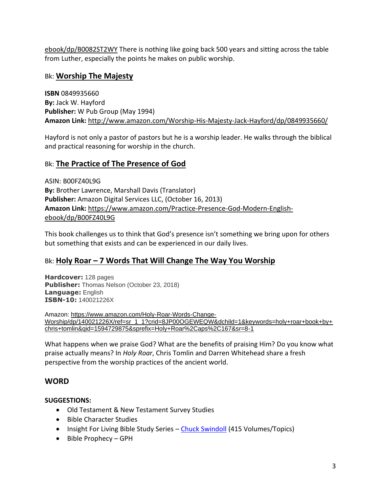[ebook/dp/B0082ST2WY](https://www.amazon.com/Selections-Table-Talk-Martin-Luther-ebook/dp/B0082ST2WY) There is nothing like going back 500 years and sitting across the table from Luther, especially the points he makes on public worship.

## Bk: **Worship The Majesty**

**ISBN** 0849935660 **By:** Jack W. Hayford **Publisher:** W Pub Group (May 1994) **Amazon Link:** <http://www.amazon.com/Worship-His-Majesty-Jack-Hayford/dp/0849935660/>

Hayford is not only a pastor of pastors but he is a worship leader. He walks through the biblical and practical reasoning for worship in the church.

## Bk: **The Practice of The Presence of God**

ASIN: B00FZ40L9G **By:** Brother Lawrence, Marshall Davis (Translator) **Publisher:** Amazon Digital Services LLC, (October 16, 2013) **Amazon Link:** [https://www.amazon.com/Practice-Presence-God-Modern-English](https://www.amazon.com/Practice-Presence-God-Modern-English-ebook/dp/B00FZ40L9G)[ebook/dp/B00FZ40L9G](https://www.amazon.com/Practice-Presence-God-Modern-English-ebook/dp/B00FZ40L9G)

This book challenges us to think that God's presence isn't something we bring upon for others but something that exists and can be experienced in our daily lives.

## Bk: **Holy Roar – 7 Words That Will Change The Way You Worship**

**Hardcover:** 128 pages **Publisher:** Thomas Nelson (October 23, 2018) **Language:** English **ISBN-10:** 140021226X

Amazon: [https://www.amazon.com/Holy-Roar-Words-Change-](https://www.amazon.com/Holy-Roar-Words-Change-Worship/dp/140021226X/ref=sr_1_1?crid=8JP00OGEWEQW&dchild=1&keywords=holy+roar+book+by+chris+tomlin&qid=1594729875&sprefix=Holy+Roar%2Caps%2C167&sr=8-1)[Worship/dp/140021226X/ref=sr\\_1\\_1?crid=8JP00OGEWEQW&dchild=1&keywords=holy+roar+book+by+](https://www.amazon.com/Holy-Roar-Words-Change-Worship/dp/140021226X/ref=sr_1_1?crid=8JP00OGEWEQW&dchild=1&keywords=holy+roar+book+by+chris+tomlin&qid=1594729875&sprefix=Holy+Roar%2Caps%2C167&sr=8-1) [chris+tomlin&qid=1594729875&sprefix=Holy+Roar%2Caps%2C167&sr=8-1](https://www.amazon.com/Holy-Roar-Words-Change-Worship/dp/140021226X/ref=sr_1_1?crid=8JP00OGEWEQW&dchild=1&keywords=holy+roar+book+by+chris+tomlin&qid=1594729875&sprefix=Holy+Roar%2Caps%2C167&sr=8-1)

What happens when we praise God? What are the benefits of praising Him? Do you know what praise actually means? In *Holy Roar*, Chris Tomlin and Darren Whitehead share a fresh perspective from the worship practices of the ancient world.

## **WORD**

## **SUGGESTIONS:**

- Old Testament & New Testament Survey Studies
- Bible Character Studies
- Insight For Living Bible Study Series [Chuck Swindoll](https://www.insight.org/search-results?indexCatalogue=default&searchQuery=bible%20Study&wordsMode=0) (415 Volumes/Topics)
- Bible Prophecy GPH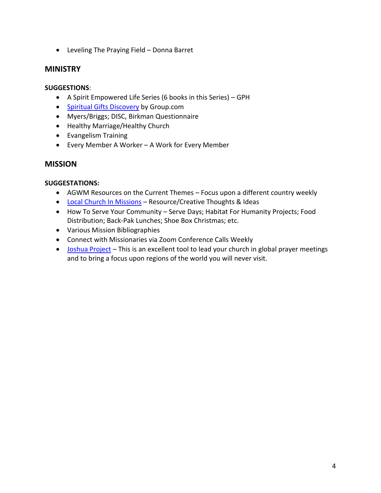• Leveling The Praying Field – Donna Barret

## **MINISTRY**

### **SUGGESTIONS**:

- A Spirit Empowered Life Series (6 books in this Series) GPH
- [Spiritual Gifts Discovery](https://www.group.com/category/ministry-resources/volunteer-management/spiritual-gifts-discovery.do) by Group.com
- Myers/Briggs; DISC, Birkman Questionnaire
- Healthy Marriage/Healthy Church
- Evangelism Training
- Every Member A Worker A Work for Every Member

## **MISSION**

#### **SUGGESTATIONS:**

- AGWM Resources on the Current Themes Focus upon a different country weekly
- [Local Church In Missions](https://justdisciple.com/role-of-the-local-church-in-missions/) Resource/Creative Thoughts & Ideas
- How To Serve Your Community Serve Days; Habitat For Humanity Projects; Food Distribution; Back-Pak Lunches; Shoe Box Christmas; etc.
- Various Mission Bibliographies
- Connect with Missionaries via Zoom Conference Calls Weekly
- [Joshua Project](https://joshuaproject.net/resources/prayer) This is an excellent tool to lead your church in global prayer meetings and to bring a focus upon regions of the world you will never visit.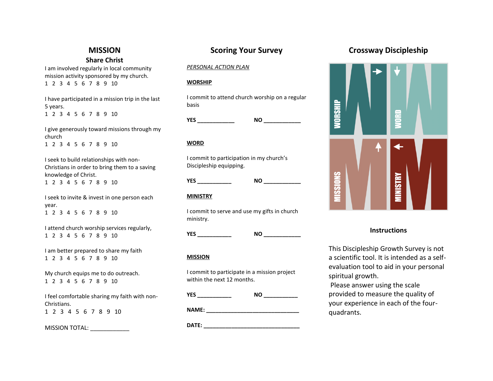## **MISSION Share Christ**

I am involved regularly in local community mission activity sponsored by my church. 1 2 3 4 5 6 7 8 9 10

I have participated in a mission trip in the last 5 years. 1 2 3 4 5 6 7 8 9 10

I give generously toward missions through my church 1 2 3 4 5 6 7 8 9 10

I seek to build relationships with non-Christians in order to bring them to a saving knowledge of Christ. 1 2 3 4 5 6 7 8 9 10

I seek to invite & invest in one person each year. 1 2 3 4 5 6 7 8 9 10

I attend church worship services regularly, 1 2 3 4 5 6 7 8 9 10

I am better prepared to share my faith 1 2 3 4 5 6 7 8 9 10

My church equips me to do outreach. 1 2 3 4 5 6 7 8 9 10

I feel comfortable sharing my faith with non-Christians. 1 2 3 4 5 6 7 8 9 10

MISSION TOTAL: \_\_\_\_\_\_\_\_\_\_\_\_\_\_

## **Scoring Your Survey**

#### *PERSONAL ACTION PLAN*

#### **WORSHIP**

I commit to attend church worship on a regular basis

**YES \_\_\_\_\_\_\_\_\_\_\_\_ NO \_\_\_\_\_\_\_\_\_\_\_\_**

#### **WORD**

I commit to participation in my church's Discipleship equipping.

#### **MINISTRY**

I commit to serve and use my gifts in church ministry.

**YES \_\_\_\_\_\_\_\_\_\_\_ NO \_\_\_\_\_\_\_\_\_\_\_\_**

#### **MISSION**

I commit to participate in a mission project within the next 12 months.

**YES \_\_\_\_\_\_\_\_\_\_\_ NO \_\_\_\_\_\_\_\_\_\_\_**

**NAME: \_\_\_\_\_\_\_\_\_\_\_\_\_\_\_\_\_\_\_\_\_\_\_\_\_\_\_\_\_\_**

**DATE: \_\_\_\_\_\_\_\_\_\_\_\_\_\_\_\_\_\_\_\_\_\_\_\_\_\_\_\_\_\_\_** 

## **Crossway Discipleship**

**NORSHIP** g SNORSSIN VINISTRY

#### **Instructions**

This Discipleship Growth Survey is not a scientific tool. It is intended as a selfevaluation tool to aid in your personal spiritual growth.

Please answer using the scale provided to measure the quality of your experience in each of the fourquadrants.

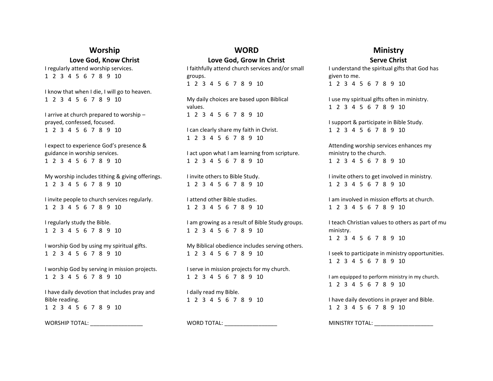## **Worship Love God, Know Christ**

I regularly attend worship services. 1 2 3 4 5 6 7 8 9 10

I know that when I die, I will go to heaven. 1 2 3 4 5 6 7 8 9 10

I arrive at church prepared to worship – prayed, confessed, focused. 1 2 3 4 5 6 7 8 9 10

I expect to experience God's presence & guidance in worship services. 1 2 3 4 5 6 7 8 9 10

My worship includes tithing & giving offerings. 1 2 3 4 5 6 7 8 9 10

I invite people to church services regularly. 1 2 3 4 5 6 7 8 9 10

I regularly study the Bible. 1 2 3 4 5 6 7 8 9 10

I worship God by using my spiritual gifts. 1 2 3 4 5 6 7 8 9 10

I worship God by serving in mission projects. 1 2 3 4 5 6 7 8 9 10

I have daily devotion that includes pray and Bible reading. 1 2 3 4 5 6 7 8 9 10

WORSHIP TOTAL:

#### **WORD Love God, Grow In Christ**

I faithfully attend church services and/or small groups. 1 2 3 4 5 6 7 8 9 10

My daily choices are based upon Biblical values. 1 2 3 4 5 6 7 8 9 10

I can clearly share my faith in Christ. 1 2 3 4 5 6 7 8 9 10

I act upon what I am learning from scripture. 1 2 3 4 5 6 7 8 9 10

I invite others to Bible Study. 1 2 3 4 5 6 7 8 9 10

I attend other Bible studies. 1 2 3 4 5 6 7 8 9 10

I am growing as a result of Bible Study groups. 1 2 3 4 5 6 7 8 9 10

My Biblical obedience includes serving others. 1 2 3 4 5 6 7 8 9 10

I serve in mission projects for my church. 1 2 3 4 5 6 7 8 9 10

I daily read my Bible. 1 2 3 4 5 6 7 8 9 10

WORD TOTAL:

### **Ministry Serve Christ**

I understand the spiritual gifts that God has given to me. 1 2 3 4 5 6 7 8 9 10

I use my spiritual gifts often in ministry. 1 2 3 4 5 6 7 8 9 10

I support & participate in Bible Study. 1 2 3 4 5 6 7 8 9 10

Attending worship services enhances my ministry to the church. 1 2 3 4 5 6 7 8 9 10

I invite others to get involved in ministry. 1 2 3 4 5 6 7 8 9 10

I am involved in mission efforts at church. 1 2 3 4 5 6 7 8 9 10

I teach Christian values to others as part of mu ministry. 1 2 3 4 5 6 7 8 9 10

I seek to participate in ministry opportunities. 1 2 3 4 5 6 7 8 9 10

I am equipped to perform ministry in my church. 1 2 3 4 5 6 7 8 9 10

I have daily devotions in prayer and Bible. 1 2 3 4 5 6 7 8 9 10

MINISTRY TOTAL: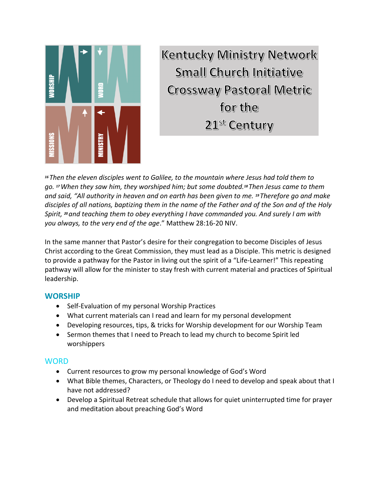

**Kentucky Ministry Network Small Church Initiative Crossway Pastoral Metric** for the 21st Century

*<sup>16</sup> Then the eleven disciples went to Galilee, to the mountain where Jesus had told them to go. <sup>17</sup>When they saw him, they worshiped him; but some doubted.<sup>18</sup> Then Jesus came to them and said, "All authority in heaven and on earth has been given to me. <sup>19</sup> Therefore go and make disciples of all nations, baptizing them in the name of the Father and of the Son and of the Holy Spirit, <sup>20</sup>and teaching them to obey everything I have commanded you. And surely I am with you always, to the very end of the age*." Matthew 28:16-20 NIV.

In the same manner that Pastor's desire for their congregation to become Disciples of Jesus Christ according to the Great Commission, they must lead as a Disciple. This metric is designed to provide a pathway for the Pastor in living out the spirit of a "Life-Learner!" This repeating pathway will allow for the minister to stay fresh with current material and practices of Spiritual leadership.

## **WORSHIP**

- Self-Evaluation of my personal Worship Practices
- What current materials can I read and learn for my personal development
- Developing resources, tips, & tricks for Worship development for our Worship Team
- Sermon themes that I need to Preach to lead my church to become Spirit led worshippers

## **WORD**

- Current resources to grow my personal knowledge of God's Word
- What Bible themes, Characters, or Theology do I need to develop and speak about that I have not addressed?
- Develop a Spiritual Retreat schedule that allows for quiet uninterrupted time for prayer and meditation about preaching God's Word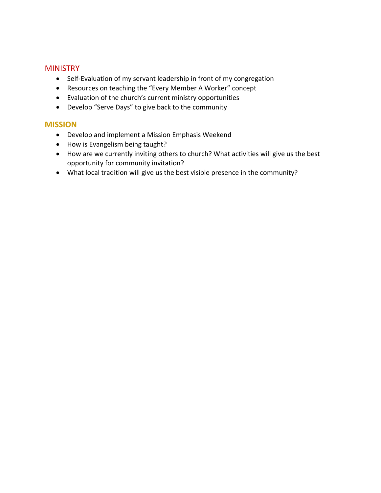## **MINISTRY**

- Self-Evaluation of my servant leadership in front of my congregation
- Resources on teaching the "Every Member A Worker" concept
- Evaluation of the church's current ministry opportunities
- Develop "Serve Days" to give back to the community

## **MISSION**

- Develop and implement a Mission Emphasis Weekend
- How is Evangelism being taught?
- How are we currently inviting others to church? What activities will give us the best opportunity for community invitation?
- What local tradition will give us the best visible presence in the community?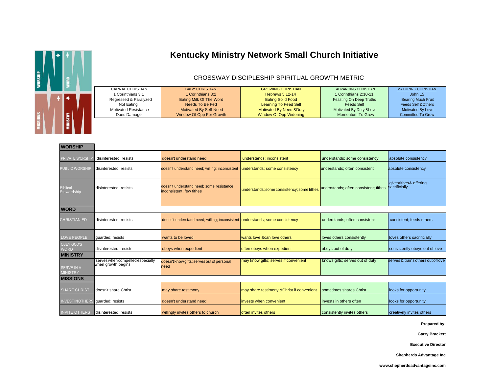

# **Kentucky Ministry Network Small Church Initiative**

#### CROSSWAY DISCIPLESHIP SPIRITUAL GROWTH METRIC

|  | CARNAL CHRISTIAN            | <b>BABY CHRISTIAN</b>    | <b>GROWING CHRISTIAN</b> | ADVANCING CHRISTIAN      | <b>MATURING CHRISTIAN</b>      |
|--|-----------------------------|--------------------------|--------------------------|--------------------------|--------------------------------|
|  | 1 Corinthians 3:1           | 1 Corinthians 3:2        | Hebrews 5:12-14          | 1 Corinthians 2:10-11    | John $15$                      |
|  | Regressed & Paralyzed       | Eating Milk Of The Word  | <b>Eating Solid Food</b> | Feasting On Deep Truths  | <b>Bearing Much Fruit</b>      |
|  | Not Eating                  | Needs To Be Fed          | Learning To Feed Self    | Feeds Self               | <b>Feeds Self &amp; Others</b> |
|  | <b>Motivated Resistance</b> | Motivated By Self-Need   | Motivated By Need &Duty  | Motivated By Duty & Love | Motivated By Love              |
|  | Does Damage                 | Window Of Opp For Growth | Window Of Opp Widening   | Momentum To Grow         | <b>Committed To Grow</b>       |
|  |                             |                          |                          |                          |                                |

| <b>WORSHIP</b>                       |                                                        |                                                                              |                                            |                                       |                                          |  |
|--------------------------------------|--------------------------------------------------------|------------------------------------------------------------------------------|--------------------------------------------|---------------------------------------|------------------------------------------|--|
| PRIVATE WORSHI                       | disinterested; resists                                 | doesn't understand need                                                      | understands; inconsistent                  | understands; some consistency         | absolute consistency                     |  |
| PUBLIC WORSHIP                       | disinterested: resists                                 | doesn't understand need; willing; inconsistent understands; some consistency |                                            | understands; often consistent         | absolute consistency                     |  |
| <b>Biblical</b><br>Stewardship       | disinterested; resists                                 | doesn't understand need; some resistance;<br>inconsistent; few tithes        | understands; some consistency; some tithes | understands; often consistent; tithes | gives tithes & offering<br>sacrificially |  |
| <b>WORD</b>                          |                                                        |                                                                              |                                            |                                       |                                          |  |
| <b>CHRISTIAN ED</b>                  | disinterested; resists                                 | doesn't understand need; willing; inconsistent understands; some consistency |                                            | understands; often consistent         | consistent; feeds others                 |  |
| LOVE PEOPLE                          | quarded; resists                                       | wants to be loved                                                            | wants love &can love others                | loves others consistently             | loves others sacrificially               |  |
| <b>OBEY GOD'S</b><br><b>WORD</b>     | disinterested; resists                                 | obeys when expedient                                                         | often obeys when expedient                 | obeys out of duty                     | consistently obeys out of love           |  |
| <b>MINISTRY</b>                      |                                                        |                                                                              |                                            |                                       |                                          |  |
| <b>SERVE IN A</b><br><b>MINISTRY</b> | serves when compelled especially<br>when growth begins | doesn't know gifts; serves out of personal<br>need                           | may know gifts; serves if convenient       | knows gifts; serves out of duty       | serves & trains others out of love       |  |
| <b>MISSIONS</b>                      |                                                        |                                                                              |                                            |                                       |                                          |  |
| <b>SHARE CHRIST</b>                  | doesn't share Christ                                   | may share testimony                                                          | may share testimony & Christ if convenient | sometimes shares Christ               | looks for opportunity                    |  |
| <b>INVESTINOTHER</b>                 | guarded; resists                                       | doesn't understand need                                                      | invests when convenient                    | invests in others often               | looks for opportunity                    |  |
| <b>INVITE OTHERS</b>                 | disinterested; resists                                 | willingly invites others to church                                           | often invites others                       | consistently invites others           | creatively invites others                |  |

**Prepared by:**

**Garry Brackett**

**Executive Director**

**Shepherds Advantage Inc**